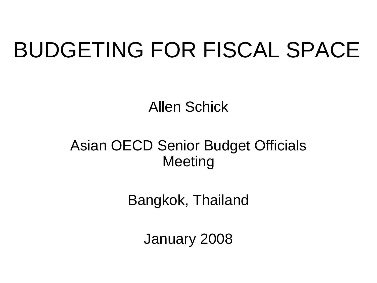# BUDGETING FOR FISCAL SPACE

Allen Schick

### Asian OECD Senior Budget Officials **Meeting**

Bangkok, Thailand

January 2008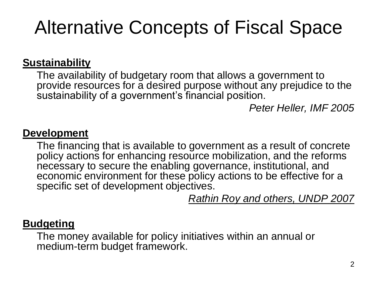## Alternative Concepts of Fiscal Space

#### **Sustainability**

The availability of budgetary room that allows a government to provide resources for a desired purpose without any prejudice to the sustainability of a government's financial position.

*Peter Heller, IMF 2005*

#### **Development**

The financing that is available to government as a result of concrete policy actions for enhancing resource mobilization, and the reforms necessary to secure the enabling governance, institutional, and economic environment for these policy actions to be effective for a specific set of development objectives.

*Rathin Roy and others, UNDP 2007*

#### **Budgeting**

The money available for policy initiatives within an annual or medium-term budget framework.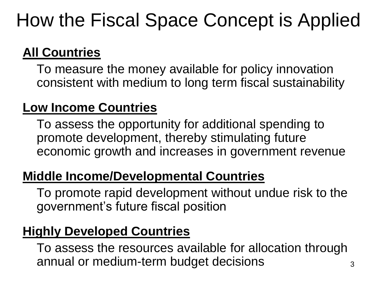## How the Fiscal Space Concept is Applied

## **All Countries**

To measure the money available for policy innovation consistent with medium to long term fiscal sustainability

#### **Low Income Countries**

To assess the opportunity for additional spending to promote development, thereby stimulating future economic growth and increases in government revenue

#### **Middle Income/Developmental Countries**

To promote rapid development without undue risk to the government's future fiscal position

#### **Highly Developed Countries**

To assess the resources available for allocation through annual or medium-term budget decisions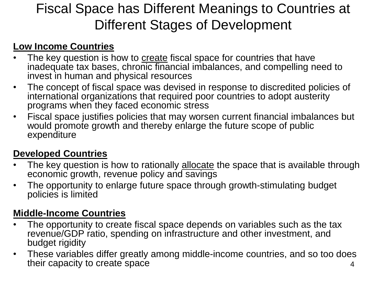### Fiscal Space has Different Meanings to Countries at Different Stages of Development

#### **Low Income Countries**

- The key question is how to create fiscal space for countries that have inadequate tax bases, chronic financial imbalances, and compelling need to invest in human and physical resources
- The concept of fiscal space was devised in response to discredited policies of international organizations that required poor countries to adopt austerity programs when they faced economic stress
- Fiscal space justifies policies that may worsen current financial imbalances but would promote growth and thereby enlarge the future scope of public expenditure

#### **Developed Countries**

- The key question is how to rationally allocate the space that is available through economic growth, revenue policy and savings
- The opportunity to enlarge future space through growth-stimulating budget policies is limited

#### **Middle-Income Countries**

- The opportunity to create fiscal space depends on variables such as the tax revenue/GDP ratio, spending on infrastructure and other investment, and budget rigidity
- 4 • These variables differ greatly among middle-income countries, and so too does their capacity to create space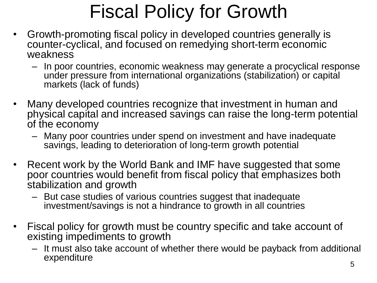## Fiscal Policy for Growth

- Growth-promoting fiscal policy in developed countries generally is counter-cyclical, and focused on remedying short-term economic weakness
	- In poor countries, economic weakness may generate a procyclical response under pressure from international organizations (stabilization) or capital markets (lack of funds)
- Many developed countries recognize that investment in human and physical capital and increased savings can raise the long-term potential of the economy
	- Many poor countries under spend on investment and have inadequate savings, leading to deterioration of long-term growth potential
- Recent work by the World Bank and IMF have suggested that some poor countries would benefit from fiscal policy that emphasizes both stabilization and growth
	- But case studies of various countries suggest that inadequate investment/savings is not a hindrance to growth in all countries
- Fiscal policy for growth must be country specific and take account of existing impediments to growth
	- It must also take account of whether there would be payback from additional expenditure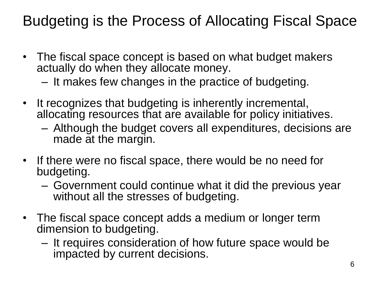## Budgeting is the Process of Allocating Fiscal Space

- The fiscal space concept is based on what budget makers actually do when they allocate money.
	- It makes few changes in the practice of budgeting.
- It recognizes that budgeting is inherently incremental, allocating resources that are available for policy initiatives.
	- Although the budget covers all expenditures, decisions are made at the margin.
- If there were no fiscal space, there would be no need for budgeting.
	- Government could continue what it did the previous year without all the stresses of budgeting.
- The fiscal space concept adds a medium or longer term dimension to budgeting.
	- It requires consideration of how future space would be impacted by current decisions.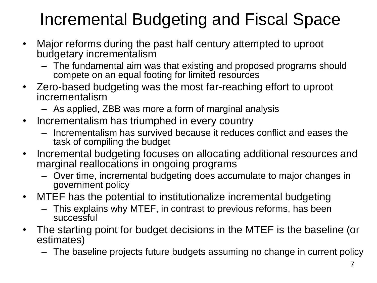## Incremental Budgeting and Fiscal Space

- Major reforms during the past half century attempted to uproot budgetary incrementalism
	- The fundamental aim was that existing and proposed programs should compete on an equal footing for limited resources
- Zero-based budgeting was the most far-reaching effort to uproot incrementalism
	- As applied, ZBB was more a form of marginal analysis
- Incrementalism has triumphed in every country
	- Incrementalism has survived because it reduces conflict and eases the task of compiling the budget
- Incremental budgeting focuses on allocating additional resources and marginal reallocations in ongoing programs
	- Over time, incremental budgeting does accumulate to major changes in government policy
- MTEF has the potential to institutionalize incremental budgeting
	- This explains why MTEF, in contrast to previous reforms, has been successful
- The starting point for budget decisions in the MTEF is the baseline (or estimates)
	- The baseline projects future budgets assuming no change in current policy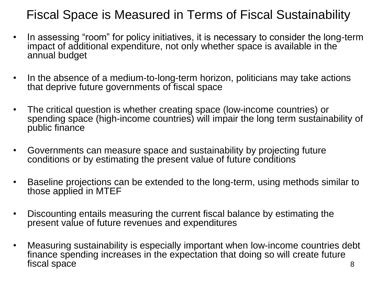#### Fiscal Space is Measured in Terms of Fiscal Sustainability

- In assessing "room" for policy initiatives, it is necessary to consider the long-term impact of additional expenditure, not only whether space is available in the annual budget
- In the absence of a medium-to-long-term horizon, politicians may take actions that deprive future governments of fiscal space
- The critical question is whether creating space (low-income countries) or spending space (high-income countries) will impair the long term sustainability of public finance
- Governments can measure space and sustainability by projecting future conditions or by estimating the present value of future conditions
- Baseline projections can be extended to the long-term, using methods similar to those applied in MTEF
- Discounting entails measuring the current fiscal balance by estimating the present value of future revenues and expenditures
- 8 • Measuring sustainability is especially important when low-income countries debt finance spending increases in the expectation that doing so will create future fiscal space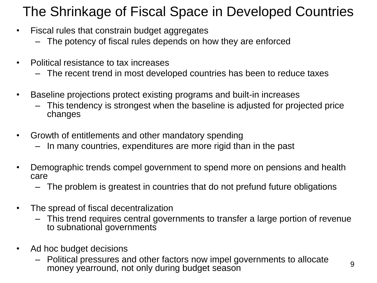## The Shrinkage of Fiscal Space in Developed Countries

- Fiscal rules that constrain budget aggregates
	- The potency of fiscal rules depends on how they are enforced
- Political resistance to tax increases
	- The recent trend in most developed countries has been to reduce taxes
- Baseline projections protect existing programs and built-in increases
	- This tendency is strongest when the baseline is adjusted for projected price changes
- Growth of entitlements and other mandatory spending
	- In many countries, expenditures are more rigid than in the past
- Demographic trends compel government to spend more on pensions and health care
	- The problem is greatest in countries that do not prefund future obligations
- The spread of fiscal decentralization
	- This trend requires central governments to transfer a large portion of revenue to subnational governments
- Ad hoc budget decisions
	- Political pressures and other factors now impel governments to allocate money yearround, not only during budget season